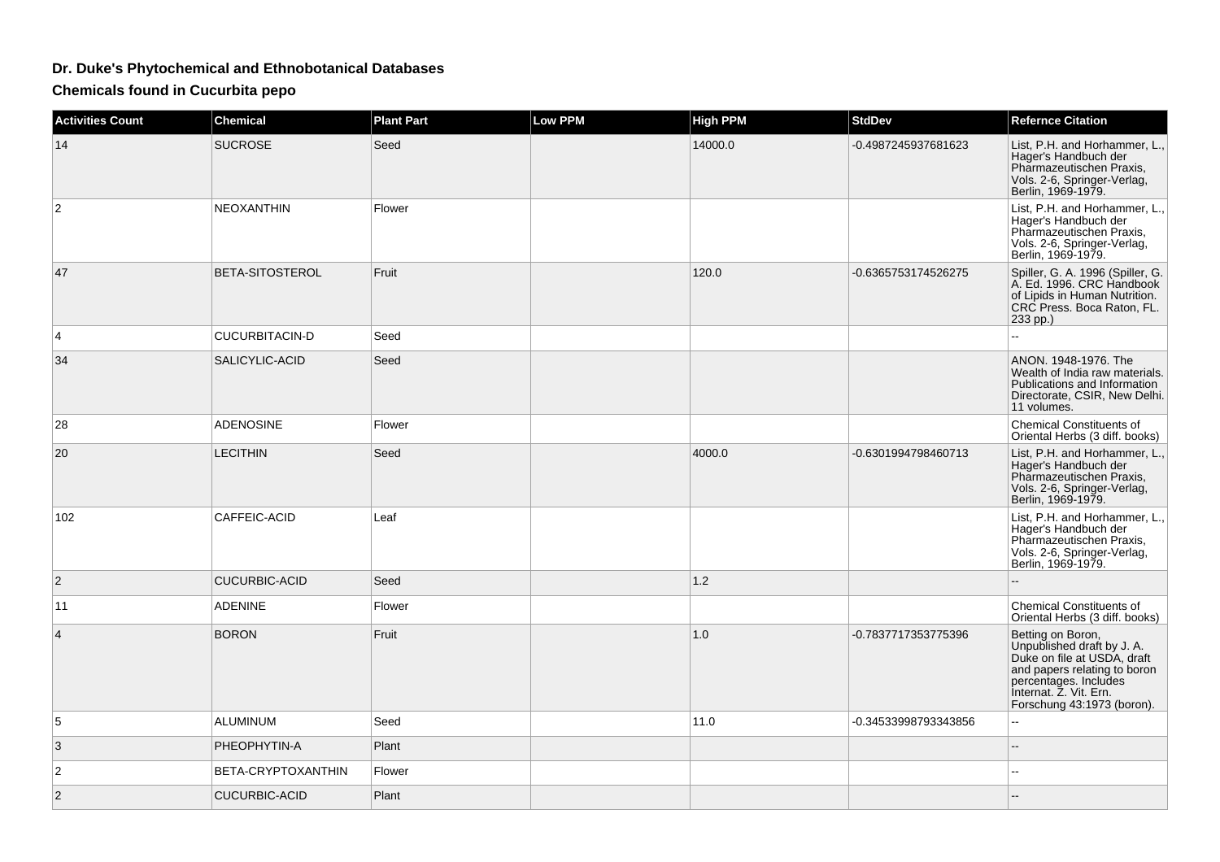## **Dr. Duke's Phytochemical and Ethnobotanical Databases**

**Chemicals found in Cucurbita pepo**

| <b>Activities Count</b> | <b>Chemical</b>      | <b>Plant Part</b> | <b>Low PPM</b> | <b>High PPM</b> | <b>StdDev</b>        | <b>Refernce Citation</b>                                                                                                                                                                        |
|-------------------------|----------------------|-------------------|----------------|-----------------|----------------------|-------------------------------------------------------------------------------------------------------------------------------------------------------------------------------------------------|
| 14                      | <b>SUCROSE</b>       | Seed              |                | 14000.0         | -0.4987245937681623  | List, P.H. and Horhammer, L.,<br>Hager's Handbuch der<br>Pharmazeutischen Praxis,<br>Vols. 2-6, Springer-Verlag,<br>Berlin, 1969-1979.                                                          |
| 2                       | <b>NEOXANTHIN</b>    | Flower            |                |                 |                      | List, P.H. and Horhammer, L.,<br>Hager's Handbuch der<br>Pharmazeutischen Praxis,<br>Vols. 2-6, Springer-Verlag,<br>Berlin, 1969-1979.                                                          |
| 47                      | BETA-SITOSTEROL      | Fruit             |                | 120.0           | -0.6365753174526275  | Spiller, G. A. 1996 (Spiller, G.<br>A. Ed. 1996. CRC Handbook<br>of Lipids in Human Nutrition.<br>CRC Press. Boca Raton, FL.<br>233 pp.)                                                        |
| 4                       | CUCURBITACIN-D       | Seed              |                |                 |                      | $\overline{a}$                                                                                                                                                                                  |
| 34                      | SALICYLIC-ACID       | Seed              |                |                 |                      | ANON. 1948-1976. The<br>Wealth of India raw materials.<br>Publications and Information<br>Directorate, CSIR, New Delhi.<br>11 volumes.                                                          |
| 28                      | <b>ADENOSINE</b>     | Flower            |                |                 |                      | <b>Chemical Constituents of</b><br>Oriental Herbs (3 diff. books)                                                                                                                               |
| 20                      | <b>LECITHIN</b>      | Seed              |                | 4000.0          | -0.6301994798460713  | List, P.H. and Horhammer, L.,<br>Hager's Handbuch der<br>Pharmazeutischen Praxis,<br>Vols. 2-6, Springer-Verlag,<br>Berlin, 1969-1979.                                                          |
| 102                     | CAFFEIC-ACID         | Leaf              |                |                 |                      | List, P.H. and Horhammer, L.,<br>Hager's Handbuch der<br>Pharmazeutischen Praxis,<br>Vols. 2-6, Springer-Verlag,<br>Berlin, 1969-1979.                                                          |
| $\overline{2}$          | <b>CUCURBIC-ACID</b> | Seed              |                | $1.2$           |                      |                                                                                                                                                                                                 |
| 11                      | <b>ADENINE</b>       | Flower            |                |                 |                      | <b>Chemical Constituents of</b><br>Oriental Herbs (3 diff. books)                                                                                                                               |
| 4                       | <b>BORON</b>         | Fruit             |                | 1.0             | -0.7837717353775396  | Betting on Boron,<br>Unpublished draft by J. A.<br>Duke on file at USDA, draft<br>and papers relating to boron<br>percentages. Includes<br>Internat. Z. Vit. Ern.<br>Forschung 43:1973 (boron). |
| 5                       | <b>ALUMINUM</b>      | Seed              |                | 11.0            | -0.34533998793343856 | L.                                                                                                                                                                                              |
| 3                       | PHEOPHYTIN-A         | Plant             |                |                 |                      | --                                                                                                                                                                                              |
| 2                       | BETA-CRYPTOXANTHIN   | Flower            |                |                 |                      | --                                                                                                                                                                                              |
| 2                       | <b>CUCURBIC-ACID</b> | Plant             |                |                 |                      |                                                                                                                                                                                                 |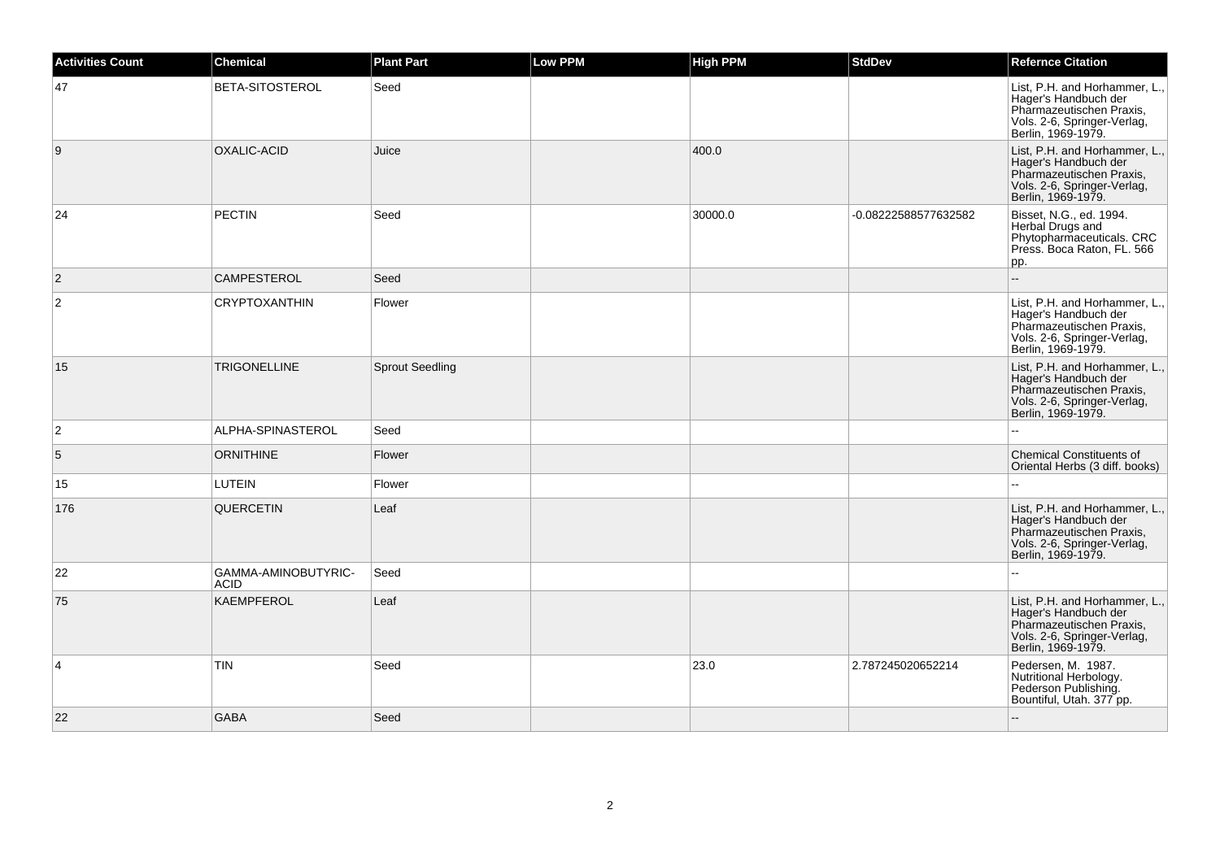| <b>Activities Count</b> | <b>Chemical</b>                    | <b>Plant Part</b>      | <b>Low PPM</b> | <b>High PPM</b> | <b>StdDev</b>        | <b>Refernce Citation</b>                                                                                                               |
|-------------------------|------------------------------------|------------------------|----------------|-----------------|----------------------|----------------------------------------------------------------------------------------------------------------------------------------|
| 47                      | BETA-SITOSTEROL                    | Seed                   |                |                 |                      | List, P.H. and Horhammer, L.,<br>Hager's Handbuch der<br>Pharmazeutischen Praxis,<br>Vols. 2-6, Springer-Verlag,<br>Berlin, 1969-1979. |
| 9                       | OXALIC-ACID                        | Juice                  |                | 400.0           |                      | List, P.H. and Horhammer, L.,<br>Hager's Handbuch der<br>Pharmazeutischen Praxis,<br>Vols. 2-6, Springer-Verlag,<br>Berlin, 1969-1979. |
| 24                      | <b>PECTIN</b>                      | Seed                   |                | 30000.0         | -0.08222588577632582 | Bisset, N.G., ed. 1994.<br>Herbal Drugs and<br>Phytopharmaceuticals. CRC<br>Press. Boca Raton, FL. 566<br>pp.                          |
| $\overline{2}$          | <b>CAMPESTEROL</b>                 | Seed                   |                |                 |                      | $\overline{\phantom{a}}$                                                                                                               |
| $\overline{2}$          | <b>CRYPTOXANTHIN</b>               | Flower                 |                |                 |                      | List, P.H. and Horhammer, L.,<br>Hager's Handbuch der<br>Pharmazeutischen Praxis,<br>Vols. 2-6, Springer-Verlag,<br>Berlin, 1969-1979. |
| 15                      | <b>TRIGONELLINE</b>                | <b>Sprout Seedling</b> |                |                 |                      | List, P.H. and Horhammer, L.,<br>Hager's Handbuch der<br>Pharmazeutischen Praxis,<br>Vols. 2-6, Springer-Verlag,<br>Berlin, 1969-1979. |
| $\overline{2}$          | ALPHA-SPINASTEROL                  | Seed                   |                |                 |                      |                                                                                                                                        |
| 5                       | <b>ORNITHINE</b>                   | Flower                 |                |                 |                      | <b>Chemical Constituents of</b><br>Oriental Herbs (3 diff. books)                                                                      |
| 15                      | <b>LUTEIN</b>                      | Flower                 |                |                 |                      |                                                                                                                                        |
| 176                     | <b>QUERCETIN</b>                   | Leaf                   |                |                 |                      | List, P.H. and Horhammer, L.,<br>Hager's Handbuch der<br>Pharmazeutischen Praxis,<br>Vols. 2-6, Springer-Verlag,<br>Berlin, 1969-1979. |
| 22                      | GAMMA-AMINOBUTYRIC-<br><b>ACID</b> | Seed                   |                |                 |                      |                                                                                                                                        |
| 75                      | <b>KAEMPFEROL</b>                  | Leaf                   |                |                 |                      | List, P.H. and Horhammer, L.,<br>Hager's Handbuch der<br>Pharmazeutischen Praxis,<br>Vols. 2-6, Springer-Verlag,<br>Berlin, 1969-1979. |
| $\overline{4}$          | <b>TIN</b>                         | Seed                   |                | 23.0            | 2.787245020652214    | Pedersen, M. 1987.<br>Nutritional Herbology.<br>Pederson Publishing.<br>Bountiful, Utah. 377 pp.                                       |
| 22                      | <b>GABA</b>                        | Seed                   |                |                 |                      | $\sim$                                                                                                                                 |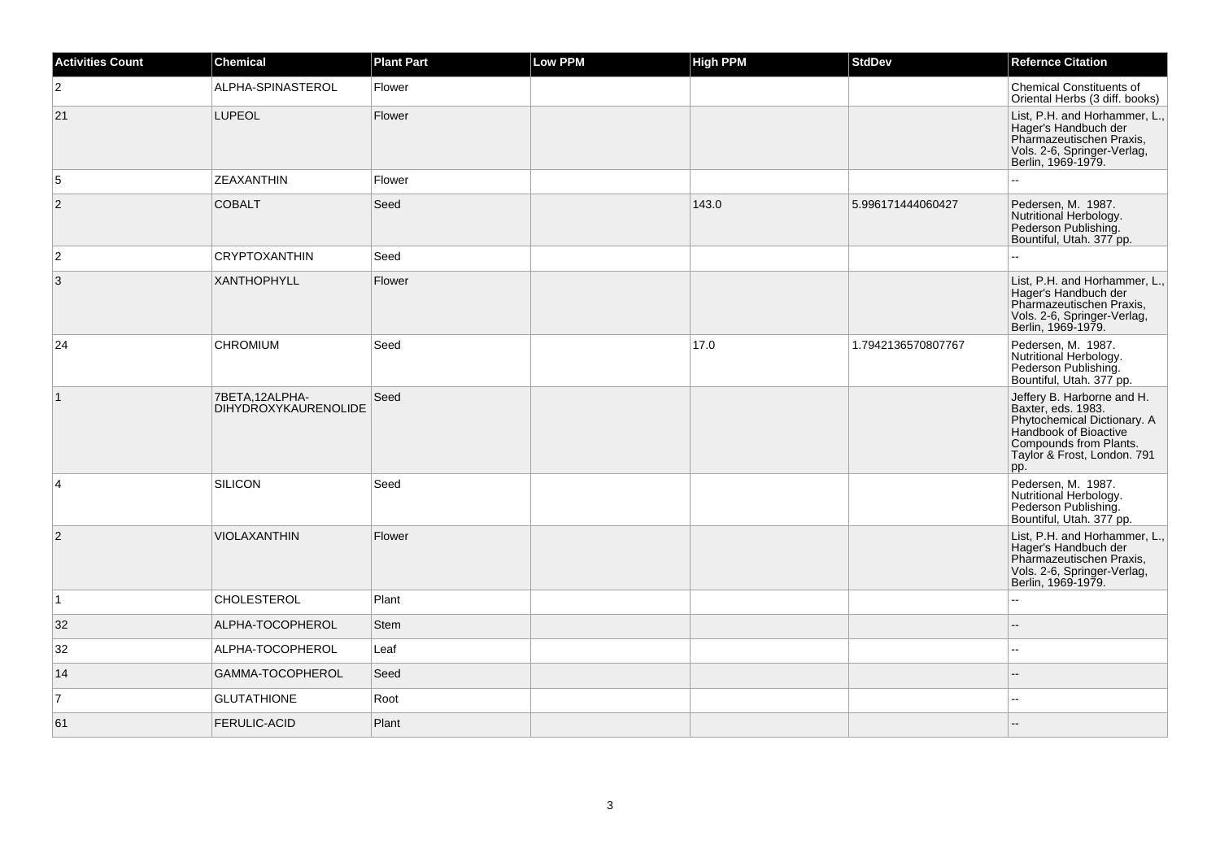| <b>Activities Count</b> | <b>Chemical</b>                               | <b>Plant Part</b> | <b>Low PPM</b> | High PPM | <b>StdDev</b>      | <b>Refernce Citation</b>                                                                                                                                                 |
|-------------------------|-----------------------------------------------|-------------------|----------------|----------|--------------------|--------------------------------------------------------------------------------------------------------------------------------------------------------------------------|
| $\overline{2}$          | ALPHA-SPINASTEROL                             | Flower            |                |          |                    | <b>Chemical Constituents of</b><br>Oriental Herbs (3 diff. books)                                                                                                        |
| 21                      | <b>LUPEOL</b>                                 | Flower            |                |          |                    | List, P.H. and Horhammer, L.,<br>Hager's Handbuch der<br>Pharmazeutischen Praxis,<br>Vols. 2-6, Springer-Verlag,<br>Berlin, 1969-1979.                                   |
| 5                       | <b>ZEAXANTHIN</b>                             | Flower            |                |          |                    |                                                                                                                                                                          |
| $\overline{2}$          | <b>COBALT</b>                                 | Seed              |                | 143.0    | 5.996171444060427  | Pedersen, M. 1987.<br>Nutritional Herbology.<br>Pederson Publishing.<br>Bountiful, Utah. 377 pp.                                                                         |
| $\overline{2}$          | <b>CRYPTOXANTHIN</b>                          | Seed              |                |          |                    |                                                                                                                                                                          |
| 3                       | <b>XANTHOPHYLL</b>                            | Flower            |                |          |                    | List, P.H. and Horhammer, L.,<br>Hager's Handbuch der<br>Pharmazeutischen Praxis,<br>Vols. 2-6, Springer-Verlag,<br>Berlin, 1969-1979.                                   |
| 24                      | <b>CHROMIUM</b>                               | Seed              |                | 17.0     | 1.7942136570807767 | Pedersen, M. 1987.<br>Nutritional Herbology.<br>Pederson Publishing.<br>Bountiful, Utah. 377 pp.                                                                         |
| $\overline{1}$          | 7BETA,12ALPHA-<br><b>DIHYDROXYKAURENOLIDE</b> | Seed              |                |          |                    | Jeffery B. Harborne and H.<br>Baxter, eds. 1983.<br>Phytochemical Dictionary. A<br>Handbook of Bioactive<br>Compounds from Plants.<br>Taylor & Frost, London. 791<br>pp. |
| $\overline{4}$          | SILICON                                       | Seed              |                |          |                    | Pedersen, M. 1987.<br>Nutritional Herbology.<br>Pederson Publishing.<br>Bountiful, Utah. 377 pp.                                                                         |
| $\overline{2}$          | VIOLAXANTHIN                                  | Flower            |                |          |                    | List, P.H. and Horhammer, L.,<br>Hager's Handbuch der<br>Pharmazeutischen Praxis,<br>Vols. 2-6, Springer-Verlag,<br>Berlin, 1969-1979.                                   |
| $\vert$ 1               | <b>CHOLESTEROL</b>                            | Plant             |                |          |                    | ä.                                                                                                                                                                       |
| 32                      | ALPHA-TOCOPHEROL                              | <b>Stem</b>       |                |          |                    |                                                                                                                                                                          |
| 32                      | ALPHA-TOCOPHEROL                              | Leaf              |                |          |                    | $\overline{a}$                                                                                                                                                           |
| 14                      | GAMMA-TOCOPHEROL                              | Seed              |                |          |                    |                                                                                                                                                                          |
| $\overline{7}$          | <b>GLUTATHIONE</b>                            | Root              |                |          |                    |                                                                                                                                                                          |
| 61                      | <b>FERULIC-ACID</b>                           | Plant             |                |          |                    |                                                                                                                                                                          |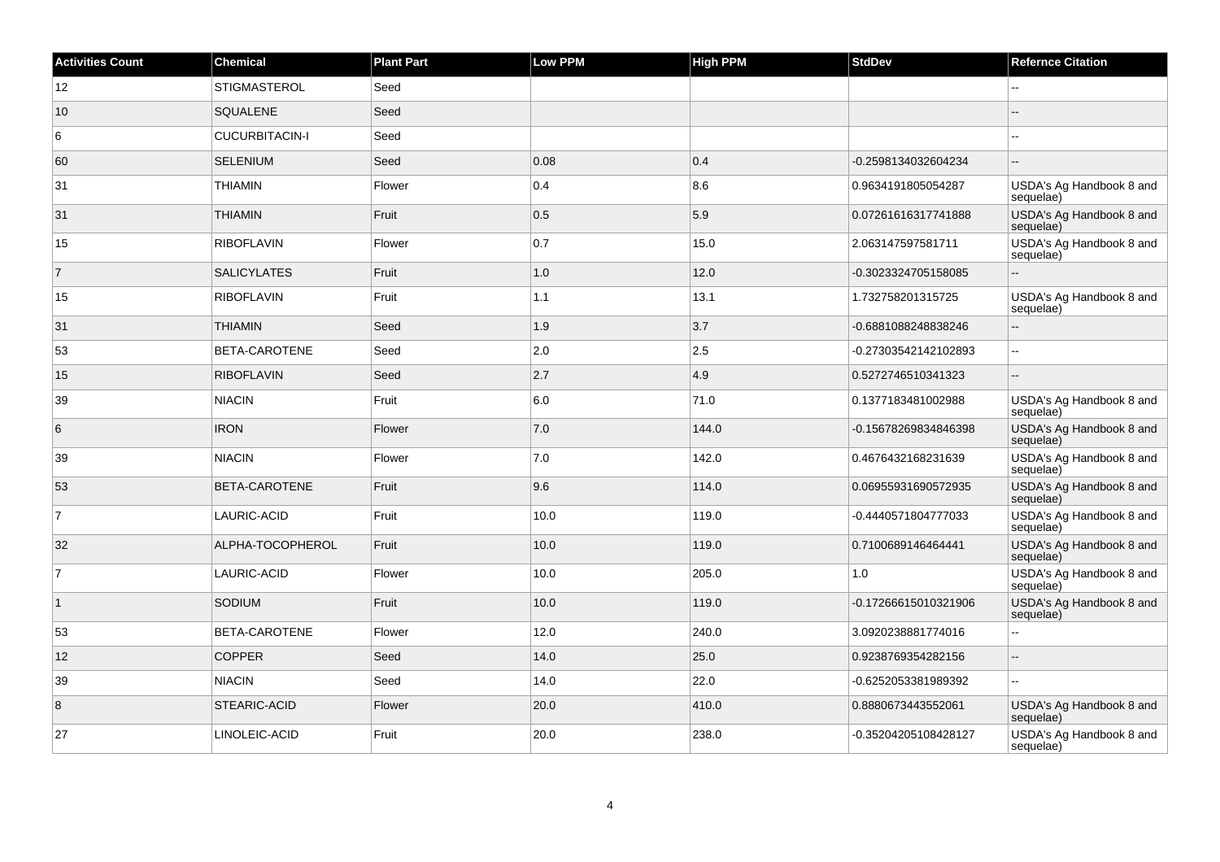| <b>Activities Count</b> | Chemical              | <b>Plant Part</b> | Low PPM | <b>High PPM</b> | <b>StdDev</b>        | <b>Refernce Citation</b>              |
|-------------------------|-----------------------|-------------------|---------|-----------------|----------------------|---------------------------------------|
| 12                      | <b>STIGMASTEROL</b>   | Seed              |         |                 |                      | $\overline{a}$                        |
| 10                      | <b>SQUALENE</b>       | Seed              |         |                 |                      | $-$                                   |
| 6                       | <b>CUCURBITACIN-I</b> | Seed              |         |                 |                      | ۵.                                    |
| 60                      | <b>SELENIUM</b>       | Seed              | 0.08    | 0.4             | -0.2598134032604234  | --                                    |
| 31                      | <b>THIAMIN</b>        | Flower            | 0.4     | 8.6             | 0.9634191805054287   | USDA's Ag Handbook 8 and<br>sequelae) |
| 31                      | <b>THIAMIN</b>        | Fruit             | 0.5     | 5.9             | 0.07261616317741888  | USDA's Ag Handbook 8 and<br>sequelae) |
| 15                      | <b>RIBOFLAVIN</b>     | Flower            | 0.7     | 15.0            | 2.063147597581711    | USDA's Ag Handbook 8 and<br>sequelae) |
| $\overline{7}$          | <b>SALICYLATES</b>    | Fruit             | 1.0     | 12.0            | -0.3023324705158085  |                                       |
| 15                      | <b>RIBOFLAVIN</b>     | Fruit             | 1.1     | 13.1            | 1.732758201315725    | USDA's Ag Handbook 8 and<br>sequelae) |
| 31                      | <b>THIAMIN</b>        | Seed              | 1.9     | 3.7             | -0.6881088248838246  | Ξ.                                    |
| 53                      | BETA-CAROTENE         | Seed              | 2.0     | 2.5             | -0.27303542142102893 | цü.                                   |
| 15                      | <b>RIBOFLAVIN</b>     | Seed              | 2.7     | 4.9             | 0.5272746510341323   | ш,                                    |
| 39                      | <b>NIACIN</b>         | Fruit             | 6.0     | 71.0            | 0.1377183481002988   | USDA's Ag Handbook 8 and<br>sequelae) |
| 6                       | <b>IRON</b>           | Flower            | 7.0     | 144.0           | -0.15678269834846398 | USDA's Ag Handbook 8 and<br>sequelae) |
| 39                      | <b>NIACIN</b>         | Flower            | 7.0     | 142.0           | 0.4676432168231639   | USDA's Ag Handbook 8 and<br>sequelae) |
| 53                      | BETA-CAROTENE         | Fruit             | 9.6     | 114.0           | 0.06955931690572935  | USDA's Ag Handbook 8 and<br>sequelae) |
| $\overline{7}$          | LAURIC-ACID           | Fruit             | 10.0    | 119.0           | -0.4440571804777033  | USDA's Ag Handbook 8 and<br>sequelae) |
| 32                      | ALPHA-TOCOPHEROL      | Fruit             | 10.0    | 119.0           | 0.7100689146464441   | USDA's Ag Handbook 8 and<br>sequelae) |
| $\overline{7}$          | LAURIC-ACID           | Flower            | 10.0    | 205.0           | 1.0                  | USDA's Ag Handbook 8 and<br>sequelae) |
| $\vert$ 1               | SODIUM                | Fruit             | 10.0    | 119.0           | -0.17266615010321906 | USDA's Ag Handbook 8 and<br>sequelae) |
| 53                      | BETA-CAROTENE         | Flower            | 12.0    | 240.0           | 3.0920238881774016   | --                                    |
| 12                      | <b>COPPER</b>         | Seed              | 14.0    | 25.0            | 0.9238769354282156   | -−                                    |
| 39                      | <b>NIACIN</b>         | Seed              | 14.0    | 22.0            | -0.6252053381989392  | Щ,                                    |
| 8                       | STEARIC-ACID          | Flower            | 20.0    | 410.0           | 0.8880673443552061   | USDA's Ag Handbook 8 and<br>sequelae) |
| 27                      | LINOLEIC-ACID         | Fruit             | 20.0    | 238.0           | -0.35204205108428127 | USDA's Ag Handbook 8 and<br>sequelae) |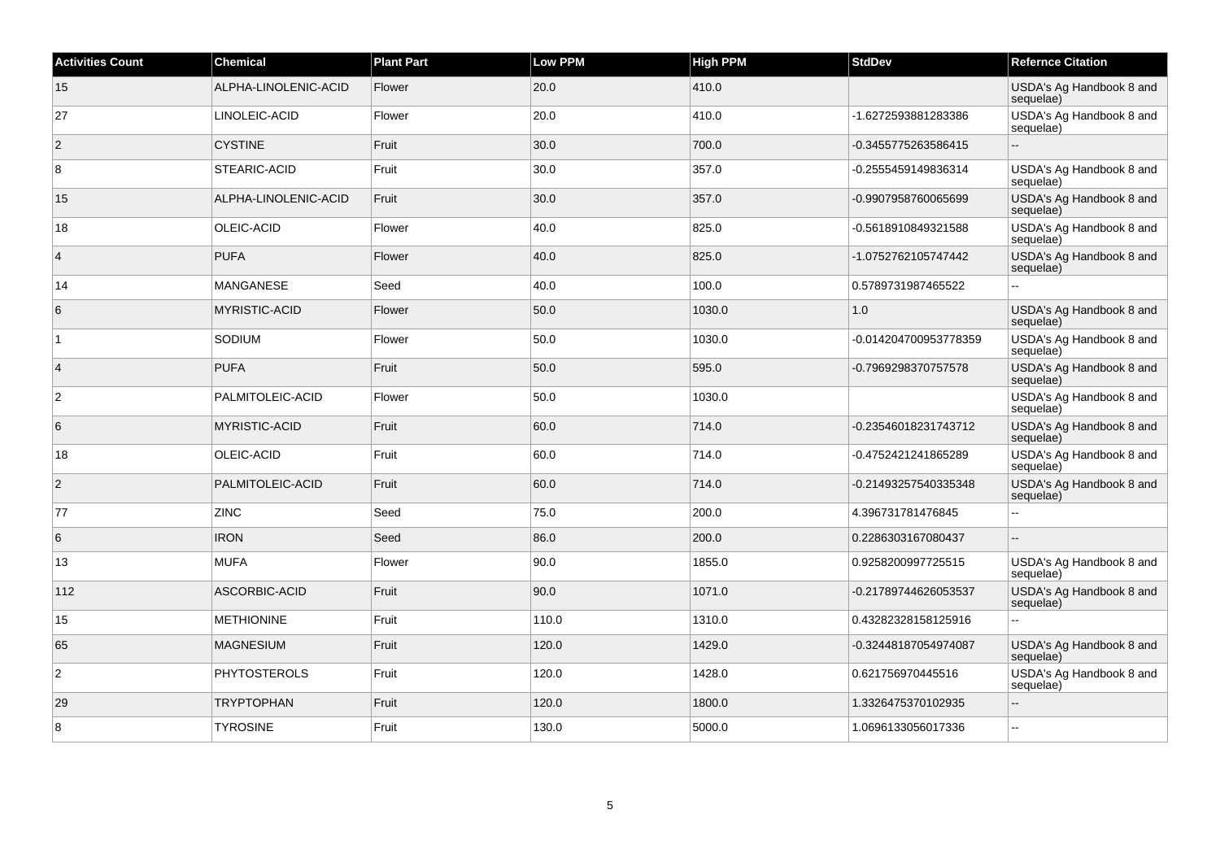| <b>Activities Count</b> | <b>Chemical</b>      | <b>Plant Part</b> | <b>Low PPM</b> | <b>High PPM</b> | <b>StdDev</b>         | <b>Refernce Citation</b>              |
|-------------------------|----------------------|-------------------|----------------|-----------------|-----------------------|---------------------------------------|
| 15                      | ALPHA-LINOLENIC-ACID | Flower            | 20.0           | 410.0           |                       | USDA's Ag Handbook 8 and<br>sequelae) |
| 27                      | LINOLEIC-ACID        | Flower            | 20.0           | 410.0           | -1.6272593881283386   | USDA's Ag Handbook 8 and<br>sequelae) |
| $\overline{2}$          | <b>CYSTINE</b>       | Fruit             | 30.0           | 700.0           | -0.3455775263586415   | $\overline{\phantom{a}}$              |
| 8                       | STEARIC-ACID         | Fruit             | 30.0           | 357.0           | -0.2555459149836314   | USDA's Ag Handbook 8 and<br>sequelae) |
| 15                      | ALPHA-LINOLENIC-ACID | Fruit             | 30.0           | 357.0           | -0.9907958760065699   | USDA's Ag Handbook 8 and<br>sequelae) |
| 18                      | OLEIC-ACID           | Flower            | 40.0           | 825.0           | -0.5618910849321588   | USDA's Ag Handbook 8 and<br>sequelae) |
| $\overline{4}$          | PUFA                 | Flower            | 40.0           | 825.0           | -1.0752762105747442   | USDA's Ag Handbook 8 and<br>sequelae) |
| 14                      | <b>MANGANESE</b>     | Seed              | 40.0           | 100.0           | 0.5789731987465522    |                                       |
| 6                       | <b>MYRISTIC-ACID</b> | Flower            | 50.0           | 1030.0          | 1.0                   | USDA's Ag Handbook 8 and<br>sequelae) |
| $\vert$ 1               | SODIUM               | Flower            | 50.0           | 1030.0          | -0.014204700953778359 | USDA's Ag Handbook 8 and<br>sequelae) |
| $\overline{4}$          | <b>PUFA</b>          | Fruit             | 50.0           | 595.0           | -0.7969298370757578   | USDA's Ag Handbook 8 and<br>sequelae) |
| $\overline{2}$          | PALMITOLEIC-ACID     | Flower            | 50.0           | 1030.0          |                       | USDA's Ag Handbook 8 and<br>sequelae) |
| 6                       | <b>MYRISTIC-ACID</b> | Fruit             | 60.0           | 714.0           | -0.23546018231743712  | USDA's Ag Handbook 8 and<br>sequelae) |
| 18                      | OLEIC-ACID           | Fruit             | 60.0           | 714.0           | -0.4752421241865289   | USDA's Ag Handbook 8 and<br>sequelae) |
| $ 2\rangle$             | PALMITOLEIC-ACID     | Fruit             | 60.0           | 714.0           | -0.21493257540335348  | USDA's Ag Handbook 8 and<br>sequelae) |
| 77                      | <b>ZINC</b>          | Seed              | 75.0           | 200.0           | 4.396731781476845     | $\sim$                                |
| 6                       | <b>IRON</b>          | Seed              | 86.0           | 200.0           | 0.2286303167080437    |                                       |
| 13                      | <b>MUFA</b>          | Flower            | 90.0           | 1855.0          | 0.9258200997725515    | USDA's Ag Handbook 8 and<br>sequelae) |
| 112                     | ASCORBIC-ACID        | Fruit             | 90.0           | 1071.0          | -0.21789744626053537  | USDA's Ag Handbook 8 and<br>sequelae) |
| 15                      | <b>METHIONINE</b>    | Fruit             | 110.0          | 1310.0          | 0.43282328158125916   | ω.                                    |
| 65                      | <b>MAGNESIUM</b>     | Fruit             | 120.0          | 1429.0          | -0.32448187054974087  | USDA's Ag Handbook 8 and<br>sequelae) |
| $\overline{2}$          | <b>PHYTOSTEROLS</b>  | Fruit             | 120.0          | 1428.0          | 0.621756970445516     | USDA's Ag Handbook 8 and<br>sequelae) |
| 29                      | <b>TRYPTOPHAN</b>    | Fruit             | 120.0          | 1800.0          | 1.3326475370102935    | $\sim$                                |
| 8                       | <b>TYROSINE</b>      | Fruit             | 130.0          | 5000.0          | 1.0696133056017336    | $\sim$                                |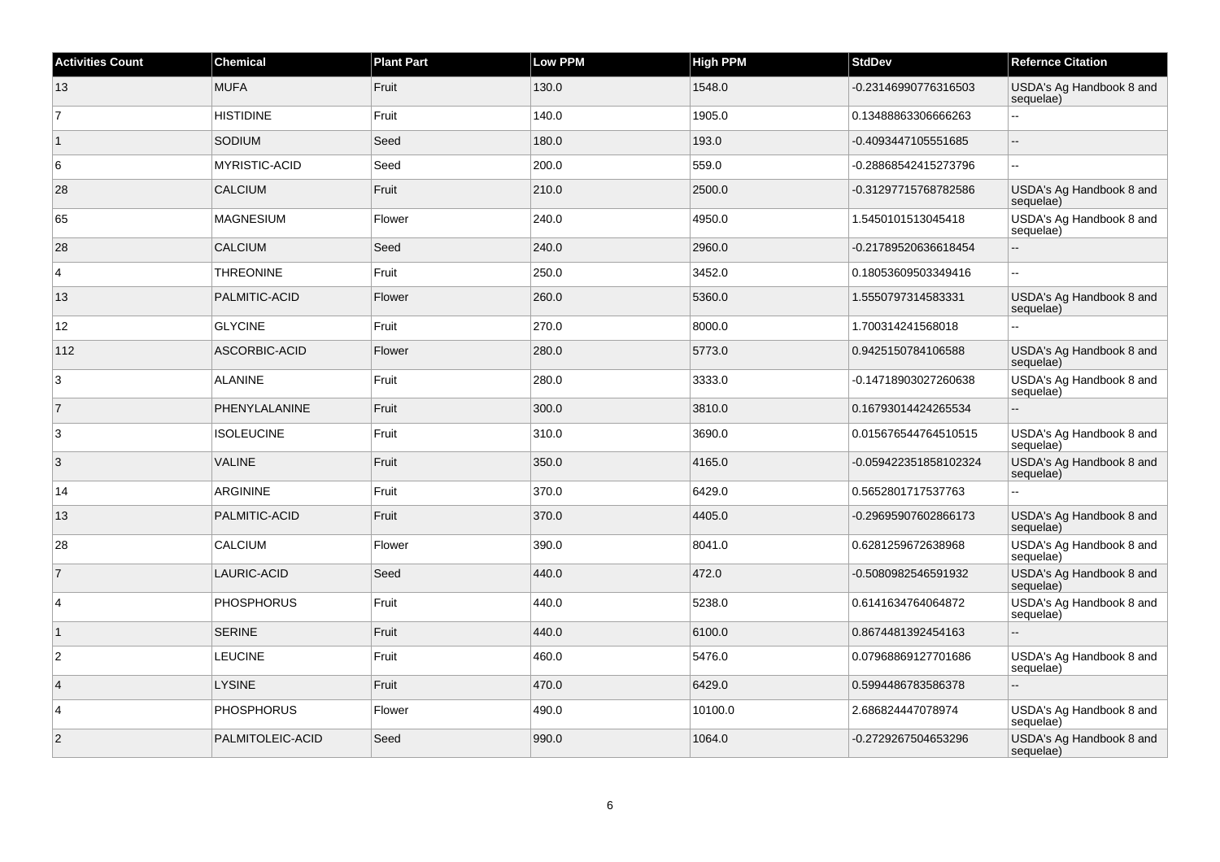| <b>Activities Count</b> | Chemical             | <b>Plant Part</b> | <b>Low PPM</b> | High PPM | <b>StdDev</b>         | <b>Refernce Citation</b>              |
|-------------------------|----------------------|-------------------|----------------|----------|-----------------------|---------------------------------------|
| 13                      | <b>MUFA</b>          | Fruit             | 130.0          | 1548.0   | -0.23146990776316503  | USDA's Ag Handbook 8 and<br>sequelae) |
| $\overline{7}$          | <b>HISTIDINE</b>     | Fruit             | 140.0          | 1905.0   | 0.13488863306666263   | $\overline{a}$                        |
| $\overline{1}$          | SODIUM               | Seed              | 180.0          | 193.0    | -0.4093447105551685   |                                       |
| 6                       | <b>MYRISTIC-ACID</b> | Seed              | 200.0          | 559.0    | -0.28868542415273796  | $\ddotsc$                             |
| 28                      | <b>CALCIUM</b>       | Fruit             | 210.0          | 2500.0   | -0.31297715768782586  | USDA's Ag Handbook 8 and<br>sequelae) |
| 65                      | <b>MAGNESIUM</b>     | Flower            | 240.0          | 4950.0   | 1.5450101513045418    | USDA's Ag Handbook 8 and<br>sequelae) |
| 28                      | <b>CALCIUM</b>       | Seed              | 240.0          | 2960.0   | -0.21789520636618454  |                                       |
| $\overline{4}$          | <b>THREONINE</b>     | Fruit             | 250.0          | 3452.0   | 0.18053609503349416   | L.                                    |
| 13                      | PALMITIC-ACID        | Flower            | 260.0          | 5360.0   | 1.5550797314583331    | USDA's Ag Handbook 8 and<br>sequelae) |
| 12                      | <b>GLYCINE</b>       | Fruit             | 270.0          | 8000.0   | 1.700314241568018     |                                       |
| 112                     | ASCORBIC-ACID        | Flower            | 280.0          | 5773.0   | 0.9425150784106588    | USDA's Ag Handbook 8 and<br>sequelae) |
| $\overline{3}$          | <b>ALANINE</b>       | Fruit             | 280.0          | 3333.0   | -0.14718903027260638  | USDA's Ag Handbook 8 and<br>sequelae) |
| $\overline{7}$          | PHENYLALANINE        | Fruit             | 300.0          | 3810.0   | 0.16793014424265534   |                                       |
| 3                       | <b>ISOLEUCINE</b>    | Fruit             | 310.0          | 3690.0   | 0.015676544764510515  | USDA's Ag Handbook 8 and<br>sequelae) |
| 3                       | <b>VALINE</b>        | Fruit             | 350.0          | 4165.0   | -0.059422351858102324 | USDA's Ag Handbook 8 and<br>sequelae) |
| 14                      | <b>ARGININE</b>      | Fruit             | 370.0          | 6429.0   | 0.5652801717537763    |                                       |
| 13                      | PALMITIC-ACID        | Fruit             | 370.0          | 4405.0   | -0.29695907602866173  | USDA's Ag Handbook 8 and<br>sequelae) |
| 28                      | <b>CALCIUM</b>       | Flower            | 390.0          | 8041.0   | 0.6281259672638968    | USDA's Ag Handbook 8 and<br>sequelae) |
| $\overline{7}$          | LAURIC-ACID          | Seed              | 440.0          | 472.0    | -0.5080982546591932   | USDA's Ag Handbook 8 and<br>sequelae) |
| $\overline{4}$          | <b>PHOSPHORUS</b>    | Fruit             | 440.0          | 5238.0   | 0.6141634764064872    | USDA's Ag Handbook 8 and<br>sequelae) |
| $\overline{1}$          | <b>SERINE</b>        | Fruit             | 440.0          | 6100.0   | 0.8674481392454163    | ÷.                                    |
| $\overline{2}$          | <b>LEUCINE</b>       | Fruit             | 460.0          | 5476.0   | 0.07968869127701686   | USDA's Ag Handbook 8 and<br>sequelae) |
| $\vert$ 4               | <b>LYSINE</b>        | Fruit             | 470.0          | 6429.0   | 0.5994486783586378    |                                       |
| $\overline{4}$          | <b>PHOSPHORUS</b>    | Flower            | 490.0          | 10100.0  | 2.686824447078974     | USDA's Ag Handbook 8 and<br>sequelae) |
| $\overline{2}$          | PALMITOLEIC-ACID     | Seed              | 990.0          | 1064.0   | -0.2729267504653296   | USDA's Ag Handbook 8 and<br>sequelae) |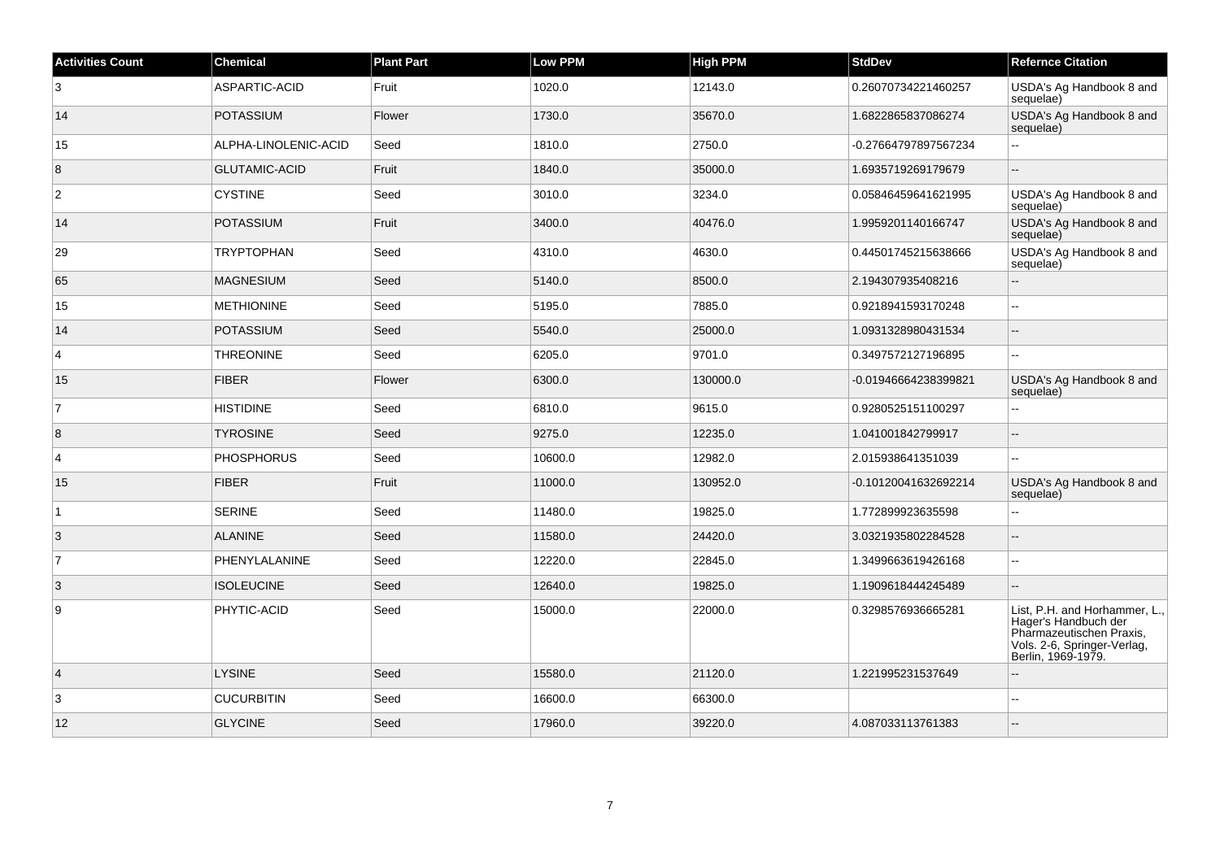| <b>Activities Count</b> | <b>Chemical</b>      | <b>Plant Part</b> | <b>Low PPM</b> | High PPM | <b>StdDev</b>        | <b>Refernce Citation</b>                                                                                                               |
|-------------------------|----------------------|-------------------|----------------|----------|----------------------|----------------------------------------------------------------------------------------------------------------------------------------|
| 3                       | ASPARTIC-ACID        | Fruit             | 1020.0         | 12143.0  | 0.26070734221460257  | USDA's Ag Handbook 8 and<br>sequelae)                                                                                                  |
| 14                      | <b>POTASSIUM</b>     | Flower            | 1730.0         | 35670.0  | 1.6822865837086274   | USDA's Ag Handbook 8 and<br>sequelae)                                                                                                  |
| 15                      | ALPHA-LINOLENIC-ACID | Seed              | 1810.0         | 2750.0   | -0.27664797897567234 |                                                                                                                                        |
| $\boldsymbol{8}$        | <b>GLUTAMIC-ACID</b> | Fruit             | 1840.0         | 35000.0  | 1.6935719269179679   |                                                                                                                                        |
| $\overline{2}$          | <b>CYSTINE</b>       | Seed              | 3010.0         | 3234.0   | 0.05846459641621995  | USDA's Ag Handbook 8 and<br>sequelae)                                                                                                  |
| 14                      | <b>POTASSIUM</b>     | Fruit             | 3400.0         | 40476.0  | 1.9959201140166747   | USDA's Ag Handbook 8 and<br>sequelae)                                                                                                  |
| 29                      | <b>TRYPTOPHAN</b>    | Seed              | 4310.0         | 4630.0   | 0.44501745215638666  | USDA's Ag Handbook 8 and<br>sequelae)                                                                                                  |
| 65                      | MAGNESIUM            | Seed              | 5140.0         | 8500.0   | 2.194307935408216    | ÷.                                                                                                                                     |
| 15                      | <b>METHIONINE</b>    | Seed              | 5195.0         | 7885.0   | 0.9218941593170248   | ä.                                                                                                                                     |
| 14                      | <b>POTASSIUM</b>     | Seed              | 5540.0         | 25000.0  | 1.0931328980431534   | $\overline{a}$                                                                                                                         |
| $\overline{4}$          | <b>THREONINE</b>     | Seed              | 6205.0         | 9701.0   | 0.3497572127196895   |                                                                                                                                        |
| 15                      | <b>FIBER</b>         | Flower            | 6300.0         | 130000.0 | -0.01946664238399821 | USDA's Ag Handbook 8 and<br>sequelae)                                                                                                  |
| $\overline{7}$          | <b>HISTIDINE</b>     | Seed              | 6810.0         | 9615.0   | 0.9280525151100297   | ۵.                                                                                                                                     |
| 8                       | <b>TYROSINE</b>      | Seed              | 9275.0         | 12235.0  | 1.041001842799917    |                                                                                                                                        |
| $\overline{4}$          | <b>PHOSPHORUS</b>    | Seed              | 10600.0        | 12982.0  | 2.015938641351039    | ÷.                                                                                                                                     |
| 15                      | <b>FIBER</b>         | Fruit             | 11000.0        | 130952.0 | -0.10120041632692214 | USDA's Ag Handbook 8 and<br>sequelae)                                                                                                  |
| 1                       | <b>SERINE</b>        | Seed              | 11480.0        | 19825.0  | 1.772899923635598    | $\overline{a}$                                                                                                                         |
| $\overline{3}$          | <b>ALANINE</b>       | Seed              | 11580.0        | 24420.0  | 3.0321935802284528   |                                                                                                                                        |
| 7                       | PHENYLALANINE        | Seed              | 12220.0        | 22845.0  | 1.3499663619426168   | $\sim$                                                                                                                                 |
| 3                       | <b>ISOLEUCINE</b>    | Seed              | 12640.0        | 19825.0  | 1.1909618444245489   | $\sim$                                                                                                                                 |
| 9                       | PHYTIC-ACID          | Seed              | 15000.0        | 22000.0  | 0.3298576936665281   | List, P.H. and Horhammer, L.,<br>Hager's Handbuch der<br>Pharmazeutischen Praxis,<br>Vols. 2-6, Springer-Verlag,<br>Berlin, 1969-1979. |
| $\vert$ 4               | <b>LYSINE</b>        | Seed              | 15580.0        | 21120.0  | 1.221995231537649    |                                                                                                                                        |
| 3                       | <b>CUCURBITIN</b>    | Seed              | 16600.0        | 66300.0  |                      | $\overline{a}$                                                                                                                         |
| 12                      | <b>GLYCINE</b>       | Seed              | 17960.0        | 39220.0  | 4.087033113761383    |                                                                                                                                        |